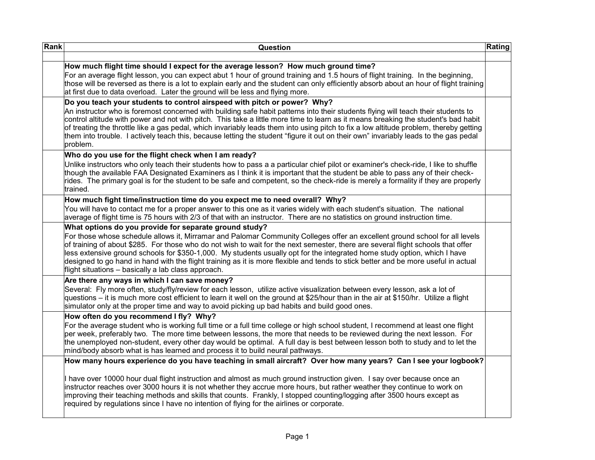| Rank | Question                                                                                                                                                                                                                                                                                                                                                                                                                                                                                                                                                                                                                                            | <b>Rating</b> |
|------|-----------------------------------------------------------------------------------------------------------------------------------------------------------------------------------------------------------------------------------------------------------------------------------------------------------------------------------------------------------------------------------------------------------------------------------------------------------------------------------------------------------------------------------------------------------------------------------------------------------------------------------------------------|---------------|
|      | How much flight time should I expect for the average lesson? How much ground time?<br>For an average flight lesson, you can expect abut 1 hour of ground training and 1.5 hours of flight training. In the beginning,<br>those will be reversed as there is a lot to explain early and the student can only efficiently absorb about an hour of flight training<br>at first due to data overload. Later the ground will be less and flying more.                                                                                                                                                                                                    |               |
|      | Do you teach your students to control airspeed with pitch or power? Why?<br>An instructor who is foremost concerned with building safe habit patterns into their students flying will teach their students to<br>control altitude with power and not with pitch. This take a little more time to learn as it means breaking the student's bad habit<br>of treating the throttle like a gas pedal, which invariably leads them into using pitch to fix a low altitude problem, thereby getting<br>them into trouble. I actively teach this, because letting the student "figure it out on their own" invariably leads to the gas pedal<br>problem.   |               |
|      | Who do you use for the flight check when I am ready?<br>Unlike instructors who only teach their students how to pass a a particular chief pilot or examiner's check-ride, I like to shuffle<br>though the available FAA Designated Examiners as I think it is important that the student be able to pass any of their check-<br>rides. The primary goal is for the student to be safe and competent, so the check-ride is merely a formality if they are properly<br>trained.                                                                                                                                                                       |               |
|      | How much fight time/instruction time do you expect me to need overall? Why?<br>You will have to contact me for a proper answer to this one as it varies widely with each student's situation. The national<br>average of flight time is 75 hours with 2/3 of that with an instructor. There are no statistics on ground instruction time.                                                                                                                                                                                                                                                                                                           |               |
|      | What options do you provide for separate ground study?<br>For those whose schedule allows it, Mirramar and Palomar Community Colleges offer an excellent ground school for all levels<br>of training of about \$285. For those who do not wish to wait for the next semester, there are several flight schools that offer<br>less extensive ground schools for \$350-1,000. My students usually opt for the integrated home study option, which I have<br>designed to go hand in hand with the flight training as it is more flexible and tends to stick better and be more useful in actual<br>flight situations - basically a lab class approach. |               |
|      | Are there any ways in which I can save money?<br>Several: Fly more often, study/fly/review for each lesson, utilize active visualization between every lesson, ask a lot of<br>questions – it is much more cost efficient to learn it well on the ground at \$25/hour than in the air at \$150/hr. Utilize a flight<br>simulator only at the proper time and way to avoid picking up bad habits and build good ones.                                                                                                                                                                                                                                |               |
|      | How often do you recommend I fly? Why?<br>For the average student who is working full time or a full time college or high school student, I recommend at least one flight<br>per week, preferably two. The more time between lessons, the more that needs to be reviewed during the next lesson. For<br>the unemployed non-student, every other day would be optimal. A full day is best between lesson both to study and to let the<br>mind/body absorb what is has learned and process it to build neural pathways.                                                                                                                               |               |
|      | How many hours experience do you have teaching in small aircraft? Over how many years? Can I see your logbook?<br>I have over 10000 hour dual flight instruction and almost as much ground instruction given. I say over because once an<br>instructor reaches over 3000 hours it is not whether they accrue more hours, but rather weather they continue to work on<br>improving their teaching methods and skills that counts. Frankly, I stopped counting/logging after 3500 hours except as<br>required by regulations since I have no intention of flying for the airlines or corporate.                                                       |               |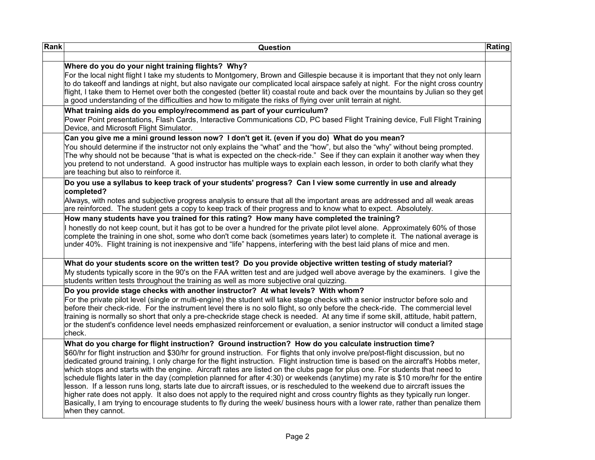| Rank | Question                                                                                                                                                                                                                                                                                                                                                                                                                                                                                                                                                                                                                                                                                                                                                                                                                                                                                                                                                                                                                                                                                 | Rating |
|------|------------------------------------------------------------------------------------------------------------------------------------------------------------------------------------------------------------------------------------------------------------------------------------------------------------------------------------------------------------------------------------------------------------------------------------------------------------------------------------------------------------------------------------------------------------------------------------------------------------------------------------------------------------------------------------------------------------------------------------------------------------------------------------------------------------------------------------------------------------------------------------------------------------------------------------------------------------------------------------------------------------------------------------------------------------------------------------------|--------|
|      | Where do you do your night training flights? Why?<br>For the local night flight I take my students to Montgomery, Brown and Gillespie because it is important that they not only learn<br>to do takeoff and landings at night, but also navigate our complicated local airspace safely at night. For the night cross country<br>flight, I take them to Hemet over both the congested (better lit) coastal route and back over the mountains by Julian so they get<br>a good understanding of the difficulties and how to mitigate the risks of flying over unlit terrain at night.                                                                                                                                                                                                                                                                                                                                                                                                                                                                                                       |        |
|      | What training aids do you employ/recommend as part of your curriculum?<br>Power Point presentations, Flash Cards, Interactive Communications CD, PC based Flight Training device, Full Flight Training<br>Device, and Microsoft Flight Simulator.                                                                                                                                                                                                                                                                                                                                                                                                                                                                                                                                                                                                                                                                                                                                                                                                                                        |        |
|      | Can you give me a mini ground lesson now? I don't get it. (even if you do) What do you mean?<br>You should determine if the instructor not only explains the "what" and the "how", but also the "why" without being prompted.<br>The why should not be because "that is what is expected on the check-ride." See if they can explain it another way when they<br>you pretend to not understand. A good instructor has multiple ways to explain each lesson, in order to both clarify what they<br>are teaching but also to reinforce it.                                                                                                                                                                                                                                                                                                                                                                                                                                                                                                                                                 |        |
|      | Do you use a syllabus to keep track of your students' progress? Can I view some currently in use and already<br>completed?<br>Always, with notes and subjective progress analysis to ensure that all the important areas are addressed and all weak areas<br>are reinforced. The student gets a copy to keep track of their progress and to know what to expect. Absolutely.                                                                                                                                                                                                                                                                                                                                                                                                                                                                                                                                                                                                                                                                                                             |        |
|      | How many students have you trained for this rating? How many have completed the training?<br>I honestly do not keep count, but it has got to be over a hundred for the private pilot level alone. Approximately 60% of those<br>complete the training in one shot, some who don't come back (sometimes years later) to complete it. The national average is<br>under 40%. Flight training is not inexpensive and "life" happens, interfering with the best laid plans of mice and men.                                                                                                                                                                                                                                                                                                                                                                                                                                                                                                                                                                                                   |        |
|      | What do your students score on the written test? Do you provide objective written testing of study material?<br>My students typically score in the 90's on the FAA written test and are judged well above average by the examiners. I give the<br>students written tests throughout the training as well as more subjective oral quizzing.                                                                                                                                                                                                                                                                                                                                                                                                                                                                                                                                                                                                                                                                                                                                               |        |
|      | Do you provide stage checks with another instructor? At what levels? With whom?<br>For the private pilot level (single or multi-engine) the student will take stage checks with a senior instructor before solo and<br>before their check-ride. For the instrument level there is no solo flight, so only before the check-ride. The commercial level<br>training is normally so short that only a pre-checkride stage check is needed. At any time if some skill, attitude, habit pattern,<br>or the student's confidence level needs emphasized reinforcement or evaluation, a senior instructor will conduct a limited stage<br>check.                                                                                                                                                                                                                                                                                                                                                                                                                                                |        |
|      | What do you charge for flight instruction? Ground instruction? How do you calculate instruction time?<br>\$60/hr for flight instruction and \$30/hr for ground instruction. For flights that only involve pre/post-flight discussion, but no<br>dedicated ground training, I only charge for the flight instruction. Flight instruction time is based on the aircraft's Hobbs meter,<br>which stops and starts with the engine. Aircraft rates are listed on the clubs page for plus one. For students that need to<br>schedule flights later in the day (completion planned for after 4:30) or weekends (anytime) my rate is \$10 more/hr for the entire<br>lesson. If a lesson runs long, starts late due to aircraft issues, or is rescheduled to the weekend due to aircraft issues the<br>higher rate does not apply. It also does not apply to the required night and cross country flights as they typically run longer.<br>Basically, I am trying to encourage students to fly during the week/ business hours with a lower rate, rather than penalize them<br>when they cannot. |        |